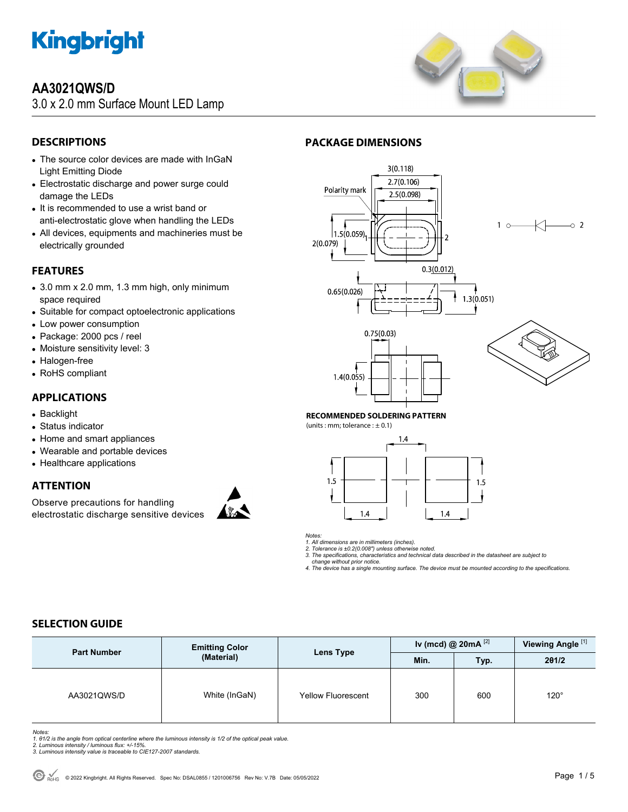

### **AA3021QWS/D**

3.0 x 2.0 mm Surface Mount LED Lamp



### **DESCRIPTIONS**

- The source color devices are made with InGaN Light Emitting Diode
- Electrostatic discharge and power surge could damage the LEDs
- It is recommended to use a wrist band or anti-electrostatic glove when handling the LEDs
- All devices, equipments and machineries must be electrically grounded

#### **FEATURES**

- 3.0 mm x 2.0 mm, 1.3 mm high, only minimum space required
- Suitable for compact optoelectronic applications
- Low power consumption
- Package: 2000 pcs / reel
- Moisture sensitivity level: 3
- Halogen-free
- RoHS compliant

### **APPLICATIONS**

- Backlight
- Status indicator
- Home and smart appliances
- Wearable and portable devices
- Healthcare applications

### **ATTENTION**

Observe precautions for handling electrostatic discharge sensitive devices







#### **RECOMMENDED SOLDERING PATTERN**

(units : mm; tolerance :  $\pm$  0.1)



*Notes:* 

*1. All dimensions are in millimeters (inches). 2. Tolerance is ±0.2(0.008") unless otherwise noted.* 

*3. The specifications, characteristics and technical data described in the datasheet are subject to* 

 *change without prior notice.* 

*4. The device has a single mounting surface. The device must be mounted according to the specifications.* 

### **SELECTION GUIDE**

| <b>Part Number</b> | <b>Emitting Color</b><br>(Material) | Lens Type                 | Iv (mcd) @ $20mA$ <sup>[2]</sup> |      | Viewing Angle <sup>[1]</sup> |
|--------------------|-------------------------------------|---------------------------|----------------------------------|------|------------------------------|
|                    |                                     |                           | Min.                             | Typ. | 201/2                        |
| AA3021QWS/D        | White (InGaN)                       | <b>Yellow Fluorescent</b> | 300                              | 600  | $120^\circ$                  |

*Notes:* 

- 1. 01/2 is the angle from optical centerline where the luminous intensity is 1/2 of the optical peak value.<br>2. Luminous intensity / luminous flux: +/-15%.<br>3. Luminous intensity value is traceable to CIE127-2007 standards.
- 
-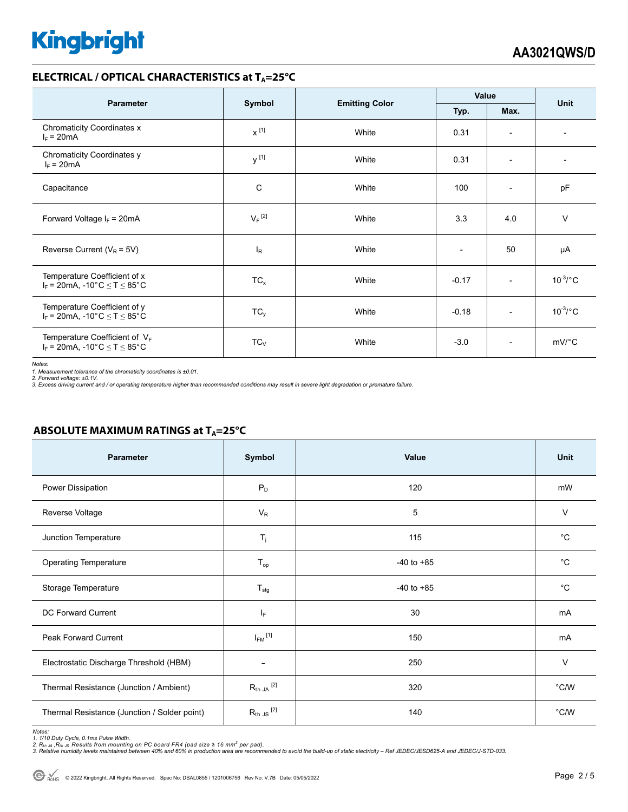#### **ELECTRICAL / OPTICAL CHARACTERISTICS at T<sub>A</sub>=25°C**

| <b>Parameter</b>                                                                                           |                      |                       | Value   |                          | <b>Unit</b>           |
|------------------------------------------------------------------------------------------------------------|----------------------|-----------------------|---------|--------------------------|-----------------------|
|                                                                                                            | Symbol               | <b>Emitting Color</b> | Typ.    |                          |                       |
| <b>Chromaticity Coordinates x</b><br>$I_F = 20mA$                                                          | $x^{[1]}$            | White                 | 0.31    | $\overline{\phantom{a}}$ |                       |
| Chromaticity Coordinates y<br>$I_F = 20mA$                                                                 | y <sup>[1]</sup>     | White                 | 0.31    | $\overline{\phantom{a}}$ |                       |
| Capacitance                                                                                                | C                    | White                 | 100     | $\overline{\phantom{a}}$ | pF                    |
| Forward Voltage $I_F = 20mA$                                                                               | $V_F$ <sup>[2]</sup> | White                 | 3.3     | 4.0                      | $\vee$                |
| Reverse Current ( $V_R$ = 5V)                                                                              | $I_R$                | White                 |         | 50                       | μA                    |
| Temperature Coefficient of x<br>$I_F$ = 20mA, -10°C $\leq T \leq 85$ °C                                    | $TC_{x}$             | White                 | $-0.17$ | $\overline{\phantom{a}}$ | $10^{-3}$ /°C         |
| Temperature Coefficient of y<br>$I_F = 20 \text{mA}, -10^{\circ} \text{C} \leq T \leq 85^{\circ} \text{C}$ | $TC_v$               | White                 | $-0.18$ | $\overline{\phantom{a}}$ | $10^{-3}$ /°C         |
| Temperature Coefficient of $V_F$<br>$I_F = 20mA$ , -10°C $\le T \le 85$ °C                                 | $TC_{V}$             | White                 | $-3.0$  | $\overline{\phantom{a}}$ | $mV$ <sup>o</sup> $C$ |

*Notes:* 

*1. Measurement tolerance of the chromaticity coordinates is ±0.01.* 

*2. Forward voltage: ±0.1V. 3. Excess driving current and / or operating temperature higher than recommended conditions may result in severe light degradation or premature failure.* 

#### **ABSOLUTE MAXIMUM RATINGS at T<sub>A</sub>=25°C**

| <b>Parameter</b>                             | Symbol                  | Value          | <b>Unit</b>   |
|----------------------------------------------|-------------------------|----------------|---------------|
| Power Dissipation                            | $P_D$                   | 120            | mW            |
| Reverse Voltage                              | $V_{R}$                 | 5              | $\vee$        |
| Junction Temperature                         | $T_j$                   | 115            | $^{\circ}C$   |
| <b>Operating Temperature</b>                 | $T_{op}$                | $-40$ to $+85$ | $^{\circ}C$   |
| Storage Temperature                          | $T_{\text{stg}}$        | $-40$ to $+85$ | $^{\circ}C$   |
| DC Forward Current                           | $I_F$                   | 30             | mA            |
| Peak Forward Current                         | $I_{FM}$ <sup>[1]</sup> | 150            | mA            |
| Electrostatic Discharge Threshold (HBM)      | $\overline{a}$          | 250            | $\vee$        |
| Thermal Resistance (Junction / Ambient)      | $R_{th}$ JA $^{[2]}$    | 320            | $\degree$ C/W |
| Thermal Resistance (Junction / Solder point) | $R_{th}$ JS $^{[2]}$    | 140            | $\degree$ C/W |

Notes:<br>1. 1/10 Duty Cycle, 0.1ms Pulse Width.<br>2. R<sub>th JA</sub> ,R<sub>th JS</sub> Results from mounting on PC board FR4 (pad size ≥ 16 mm<sup>2</sup> per pad).<br>3. Relative humidity levels maintained between 40% and 60% in production area are re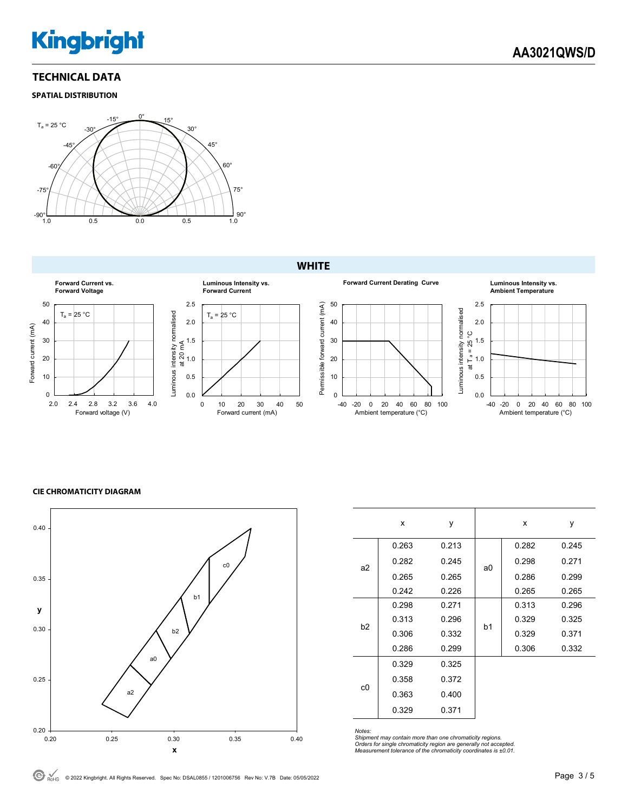#### **TECHNICAL DATA**

#### **SPATIAL DISTRIBUTION**



#### **WHITE**



#### **CIE CHROMATICITY DIAGRAM**



|    | x     | y     |                | x     | y     |
|----|-------|-------|----------------|-------|-------|
| a2 | 0.263 | 0.213 | a0             | 0.282 | 0.245 |
|    | 0.282 | 0.245 |                | 0.298 | 0.271 |
|    | 0.265 | 0.265 |                | 0.286 | 0.299 |
|    | 0.242 | 0.226 |                | 0.265 | 0.265 |
| b2 | 0.298 | 0.271 |                | 0.313 | 0.296 |
|    | 0.313 | 0.296 | b <sub>1</sub> | 0.329 | 0.325 |
|    | 0.306 | 0.332 |                | 0.329 | 0.371 |
|    | 0.286 | 0.299 |                | 0.306 | 0.332 |
| c0 | 0.329 | 0.325 |                |       |       |
|    | 0.358 | 0.372 |                |       |       |
|    | 0.363 | 0.400 |                |       |       |
|    | 0.329 | 0.371 |                |       |       |

*Notes:* 

*Shipment may contain more than one chromaticity regions. Orders for single chromaticity region are generally not accepted. Measurement tolerance of the chromaticity coordinates is ±0.01.* 

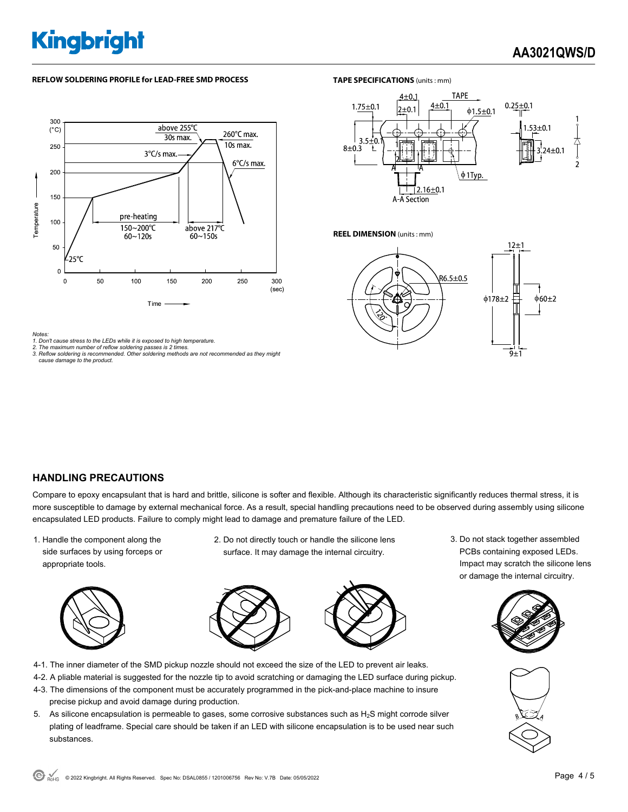#### **REFLOW SOLDERING PROFILE for LEAD-FREE SMD PROCESS**



#### *Notes:*

*1. Don't cause stress to the LEDs while it is exposed to high temperature. 2. The maximum number of reflow soldering passes is 2 times.* 

- 
- *3. Reflow soldering is recommended. Other soldering methods are not recommended as they might cause damage to the product.*

#### **TAPE SPECIFICATIONS** (units : mm)



**REEL DIMENSION** (units : mm)



#### **HANDLING PRECAUTIONS**

Compare to epoxy encapsulant that is hard and brittle, silicone is softer and flexible. Although its characteristic significantly reduces thermal stress, it is more susceptible to damage by external mechanical force. As a result, special handling precautions need to be observed during assembly using silicone encapsulated LED products. Failure to comply might lead to damage and premature failure of the LED.

1. Handle the component along the side surfaces by using forceps or appropriate tools.



2. Do not directly touch or handle the silicone lens surface. It may damage the internal circuitry.



- 4-1. The inner diameter of the SMD pickup nozzle should not exceed the size of the LED to prevent air leaks.
- 4-2. A pliable material is suggested for the nozzle tip to avoid scratching or damaging the LED surface during pickup.
- 4-3. The dimensions of the component must be accurately programmed in the pick-and-place machine to insure precise pickup and avoid damage during production.
- 5. As silicone encapsulation is permeable to gases, some corrosive substances such as  $H_2S$  might corrode silver plating of leadframe. Special care should be taken if an LED with silicone encapsulation is to be used near such substances.

3. Do not stack together assembled PCBs containing exposed LEDs. Impact may scratch the silicone lens or damage the internal circuitry.